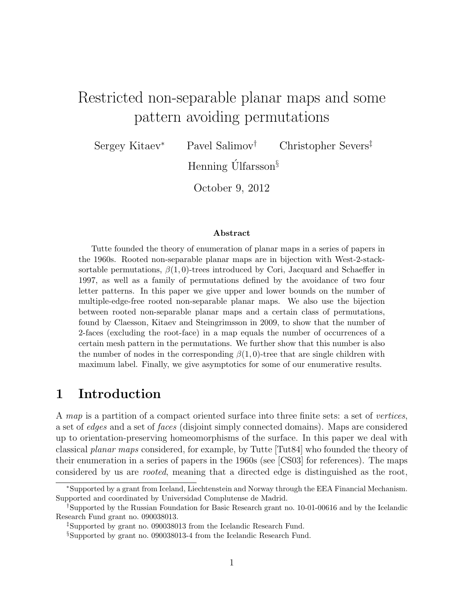# Restricted non-separable planar maps and some pattern avoiding permutations

Sergey Kitaev<sup>∗</sup> Pavel Salimov† Christopher Severs‡

Henning Ulfarsson<sup>§</sup>

October 9, 2012

#### Abstract

Tutte founded the theory of enumeration of planar maps in a series of papers in the 1960s. Rooted non-separable planar maps are in bijection with West-2-stacksortable permutations,  $\beta(1,0)$ -trees introduced by Cori, Jacquard and Schaeffer in 1997, as well as a family of permutations defined by the avoidance of two four letter patterns. In this paper we give upper and lower bounds on the number of multiple-edge-free rooted non-separable planar maps. We also use the bijection between rooted non-separable planar maps and a certain class of permutations, found by Claesson, Kitaev and Steingrimsson in 2009, to show that the number of 2-faces (excluding the root-face) in a map equals the number of occurrences of a certain mesh pattern in the permutations. We further show that this number is also the number of nodes in the corresponding  $\beta(1,0)$ -tree that are single children with maximum label. Finally, we give asymptotics for some of our enumerative results.

## 1 Introduction

A map is a partition of a compact oriented surface into three finite sets: a set of vertices, a set of edges and a set of faces (disjoint simply connected domains). Maps are considered up to orientation-preserving homeomorphisms of the surface. In this paper we deal with classical planar maps considered, for example, by Tutte [Tut84] who founded the theory of their enumeration in a series of papers in the 1960s (see [CS03] for references). The maps considered by us are rooted, meaning that a directed edge is distinguished as the root,

<sup>∗</sup>Supported by a grant from Iceland, Liechtenstein and Norway through the EEA Financial Mechanism. Supported and coordinated by Universidad Complutense de Madrid.

<sup>†</sup>Supported by the Russian Foundation for Basic Research grant no. 10-01-00616 and by the Icelandic Research Fund grant no. 090038013.

<sup>‡</sup>Supported by grant no. 090038013 from the Icelandic Research Fund.

<sup>§</sup>Supported by grant no. 090038013-4 from the Icelandic Research Fund.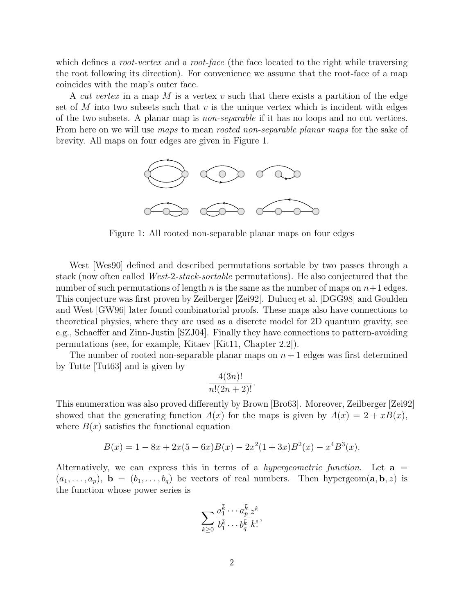which defines a root-vertex and a root-face (the face located to the right while traversing the root following its direction). For convenience we assume that the root-face of a map coincides with the map's outer face.

A *cut vertex* in a map M is a vertex v such that there exists a partition of the edge set of M into two subsets such that  $v$  is the unique vertex which is incident with edges of the two subsets. A planar map is non-separable if it has no loops and no cut vertices. From here on we will use maps to mean *rooted non-separable planar maps* for the sake of brevity. All maps on four edges are given in Figure 1.



Figure 1: All rooted non-separable planar maps on four edges

West [Wes90] defined and described permutations sortable by two passes through a stack (now often called West-2-stack-sortable permutations). He also conjectured that the number of such permutations of length n is the same as the number of maps on  $n+1$  edges. This conjecture was first proven by Zeilberger [Zei92]. Dulucq et al. [DGG98] and Goulden and West [GW96] later found combinatorial proofs. These maps also have connections to theoretical physics, where they are used as a discrete model for 2D quantum gravity, see e.g., Schaeffer and Zinn-Justin [SZJ04]. Finally they have connections to pattern-avoiding permutations (see, for example, Kitaev [Kit11, Chapter 2.2]).

The number of rooted non-separable planar maps on  $n + 1$  edges was first determined by Tutte [Tut63] and is given by

$$
\frac{4(3n)!}{n!(2n+2)!}.
$$

This enumeration was also proved differently by Brown [Bro63]. Moreover, Zeilberger [Zei92] showed that the generating function  $A(x)$  for the maps is given by  $A(x) = 2 + xB(x)$ , where  $B(x)$  satisfies the functional equation

$$
B(x) = 1 - 8x + 2x(5 - 6x)B(x) - 2x^{2}(1 + 3x)B^{2}(x) - x^{4}B^{3}(x).
$$

Alternatively, we can express this in terms of a *hypergeometric function*. Let  $a =$  $(a_1, \ldots, a_p)$ ,  $\mathbf{b} = (b_1, \ldots, b_q)$  be vectors of real numbers. Then hypergeom $(\mathbf{a}, \mathbf{b}, z)$  is the function whose power series is

$$
\sum_{k\geq 0}\frac{a_1^{\bar{k}}\cdots a_p^{\bar{k}}}{b_1^{\bar{k}}\cdots b_q^{\bar{k}}}\frac{z^k}{k!},
$$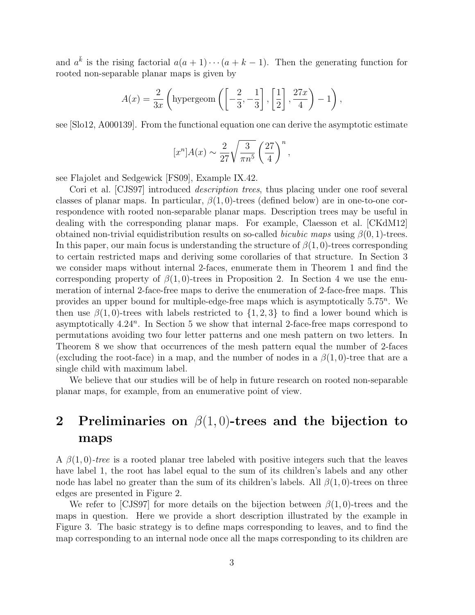and  $a^{\bar{k}}$  is the rising factorial  $a(a + 1) \cdots (a + k - 1)$ . Then the generating function for rooted non-separable planar maps is given by

$$
A(x) = \frac{2}{3x} \left( \text{hypergeom}\left( \left[ -\frac{2}{3}, -\frac{1}{3} \right], \left[ \frac{1}{2} \right], \frac{27x}{4} \right) - 1 \right),
$$

see [Slo12, A000139]. From the functional equation one can derive the asymptotic estimate

$$
[x^{n}]A(x) \sim \frac{2}{27} \sqrt{\frac{3}{\pi n^{5}}} \left(\frac{27}{4}\right)^{n},
$$

see Flajolet and Sedgewick [FS09], Example IX.42.

Cori et al. [CJS97] introduced *description trees*, thus placing under one roof several classes of planar maps. In particular,  $\beta(1,0)$ -trees (defined below) are in one-to-one correspondence with rooted non-separable planar maps. Description trees may be useful in dealing with the corresponding planar maps. For example, Claesson et al. [CKdM12] obtained non-trivial equidistribution results on so-called *bicubic maps* using  $\beta(0, 1)$ -trees. In this paper, our main focus is understanding the structure of  $\beta(1,0)$ -trees corresponding to certain restricted maps and deriving some corollaries of that structure. In Section 3 we consider maps without internal 2-faces, enumerate them in Theorem 1 and find the corresponding property of  $\beta(1,0)$ -trees in Proposition 2. In Section 4 we use the enumeration of internal 2-face-free maps to derive the enumeration of 2-face-free maps. This provides an upper bound for multiple-edge-free maps which is asymptotically  $5.75^n$ . We then use  $\beta(1,0)$ -trees with labels restricted to  $\{1,2,3\}$  to find a lower bound which is asymptotically  $4.24^n$ . In Section 5 we show that internal 2-face-free maps correspond to permutations avoiding two four letter patterns and one mesh pattern on two letters. In Theorem 8 we show that occurrences of the mesh pattern equal the number of 2-faces (excluding the root-face) in a map, and the number of nodes in a  $\beta(1,0)$ -tree that are a single child with maximum label.

We believe that our studies will be of help in future research on rooted non-separable planar maps, for example, from an enumerative point of view.

# 2 Preliminaries on  $\beta(1,0)$ -trees and the bijection to maps

A  $\beta(1,0)$ -tree is a rooted planar tree labeled with positive integers such that the leaves have label 1, the root has label equal to the sum of its children's labels and any other node has label no greater than the sum of its children's labels. All  $\beta(1,0)$ -trees on three edges are presented in Figure 2.

We refer to [CJS97] for more details on the bijection between  $\beta(1,0)$ -trees and the maps in question. Here we provide a short description illustrated by the example in Figure 3. The basic strategy is to define maps corresponding to leaves, and to find the map corresponding to an internal node once all the maps corresponding to its children are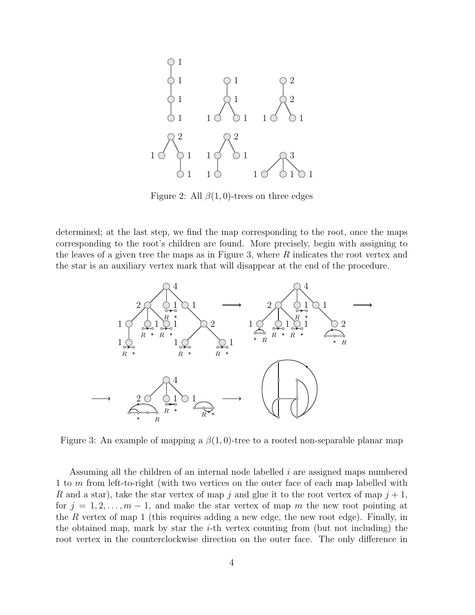

Figure 2: All  $\beta(1,0)$ -trees on three edges

determined; at the last step, we find the map corresponding to the root, once the maps corresponding to the root's children are found. More precisely, begin with assigning to the leaves of a given tree the maps as in Figure 3, where R indicates the root vertex and the star is an auxiliary vertex mark that will disappear at the end of the procedure.



Figure 3: An example of mapping a  $\beta(1,0)$ -tree to a rooted non-separable planar map

Assuming all the children of an internal node labelled  $i$  are assigned maps numbered 1 to m from left-to-right (with two vertices on the outer face of each map labelled with R and a star), take the star vertex of map j and glue it to the root vertex of map  $j + 1$ , for  $j = 1, 2, \ldots, m - 1$ , and make the star vertex of map m the new root pointing at the R vertex of map 1 (this requires adding a new edge, the new root edge). Finally, in the obtained map, mark by star the  $i$ -th vertex counting from (but not including) the root vertex in the counterclockwise direction on the outer face. The only difference in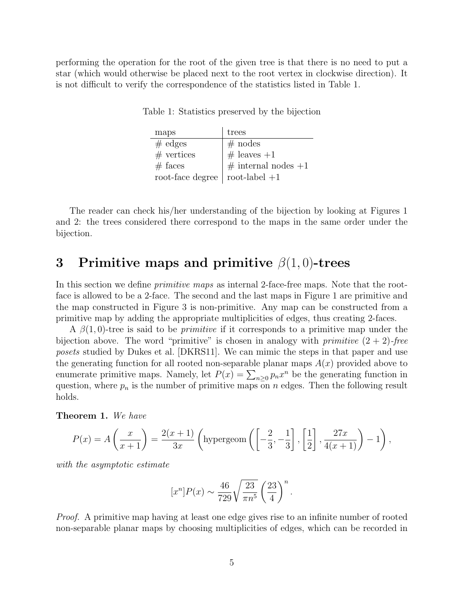performing the operation for the root of the given tree is that there is no need to put a star (which would otherwise be placed next to the root vertex in clockwise direction). It is not difficult to verify the correspondence of the statistics listed in Table 1.

| Table 1: Statistics preserved by the bijection |
|------------------------------------------------|
|------------------------------------------------|

| maps             | trees                    |
|------------------|--------------------------|
| $#$ edges        | $#$ nodes                |
| $#$ vertices     | $#$ leaves $+1$          |
| $#$ faces        | $\#$ internal nodes $+1$ |
| root-face degree | root-label $+1$          |

The reader can check his/her understanding of the bijection by looking at Figures 1 and 2: the trees considered there correspond to the maps in the same order under the bijection.

## 3 Primitive maps and primitive  $\beta(1,0)$ -trees

In this section we define *primitive maps* as internal 2-face-free maps. Note that the rootface is allowed to be a 2-face. The second and the last maps in Figure 1 are primitive and the map constructed in Figure 3 is non-primitive. Any map can be constructed from a primitive map by adding the appropriate multiplicities of edges, thus creating 2-faces.

A  $\beta(1,0)$ -tree is said to be *primitive* if it corresponds to a primitive map under the bijection above. The word "primitive" is chosen in analogy with *primitive*  $(2 + 2)$ -free posets studied by Dukes et al. [DKRS11]. We can mimic the steps in that paper and use the generating function for all rooted non-separable planar maps  $A(x)$  provided above to enumerate primitive maps. Namely, let  $P(x) = \sum_{n\geq 0} p_n x^n$  be the generating function in question, where  $p_n$  is the number of primitive maps on n edges. Then the following result holds.

Theorem 1. We have

$$
P(x) = A\left(\frac{x}{x+1}\right) = \frac{2(x+1)}{3x} \left(\text{hypergeom}\left(\left[-\frac{2}{3}, -\frac{1}{3}\right], \left[\frac{1}{2}\right], \frac{27x}{4(x+1)}\right) - 1\right),
$$

with the asymptotic estimate

$$
[x^{n}]P(x) \sim \frac{46}{729} \sqrt{\frac{23}{\pi n^{5}}} \left(\frac{23}{4}\right)^{n}.
$$

Proof. A primitive map having at least one edge gives rise to an infinite number of rooted non-separable planar maps by choosing multiplicities of edges, which can be recorded in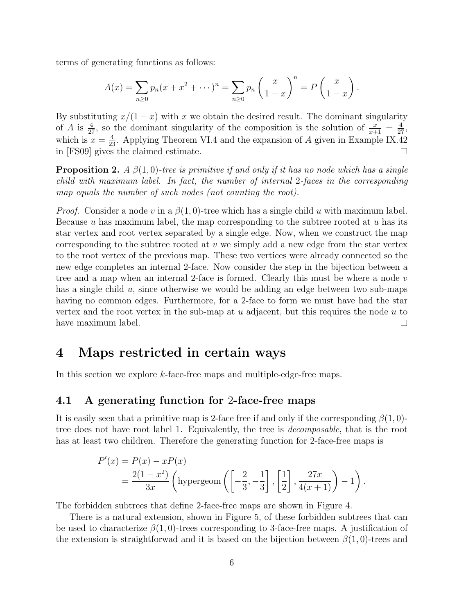terms of generating functions as follows:

$$
A(x) = \sum_{n\geq 0} p_n (x + x^2 + \dots)^n = \sum_{n\geq 0} p_n \left(\frac{x}{1-x}\right)^n = P\left(\frac{x}{1-x}\right).
$$

By substituting  $x/(1-x)$  with x we obtain the desired result. The dominant singularity of A is  $\frac{4}{27}$ , so the dominant singularity of the composition is the solution of  $\frac{x}{x+1} = \frac{4}{27}$ , which is  $x = \frac{4}{23}$ . Applying Theorem VI.4 and the expansion of A given in Example IX.42 in [FS09] gives the claimed estimate.  $\Box$ 

**Proposition 2.** A  $\beta(1,0)$ -tree is primitive if and only if it has no node which has a single child with maximum label. In fact, the number of internal 2-faces in the corresponding map equals the number of such nodes (not counting the root).

*Proof.* Consider a node v in a  $\beta(1,0)$ -tree which has a single child u with maximum label. Because  $u$  has maximum label, the map corresponding to the subtree rooted at  $u$  has its star vertex and root vertex separated by a single edge. Now, when we construct the map corresponding to the subtree rooted at  $v$  we simply add a new edge from the star vertex to the root vertex of the previous map. These two vertices were already connected so the new edge completes an internal 2-face. Now consider the step in the bijection between a tree and a map when an internal 2-face is formed. Clearly this must be where a node  $v$ has a single child  $u$ , since otherwise we would be adding an edge between two sub-maps having no common edges. Furthermore, for a 2-face to form we must have had the star vertex and the root vertex in the sub-map at  $u$  adjacent, but this requires the node  $u$  to have maximum label.  $\Box$ 

### 4 Maps restricted in certain ways

In this section we explore k-face-free maps and multiple-edge-free maps.

### 4.1 A generating function for 2-face-free maps

It is easily seen that a primitive map is 2-face free if and only if the corresponding  $\beta(1,0)$ tree does not have root label 1. Equivalently, the tree is decomposable, that is the root has at least two children. Therefore the generating function for 2-face-free maps is

$$
P'(x) = P(x) - xP(x)
$$
  
=  $\frac{2(1-x^2)}{3x} \left( \text{hypergeom}\left( \left[ -\frac{2}{3}, -\frac{1}{3} \right], \left[ \frac{1}{2} \right], \frac{27x}{4(x+1)} \right) - 1 \right).$ 

The forbidden subtrees that define 2-face-free maps are shown in Figure 4.

There is a natural extension, shown in Figure 5, of these forbidden subtrees that can be used to characterize  $\beta(1,0)$ -trees corresponding to 3-face-free maps. A justification of the extension is straightforwad and it is based on the bijection between  $\beta(1,0)$ -trees and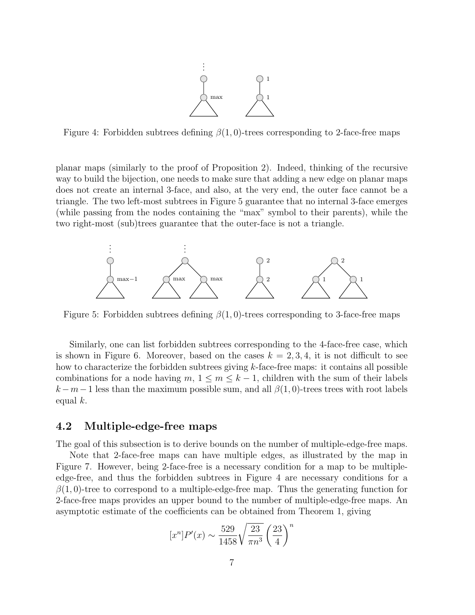

Figure 4: Forbidden subtrees defining  $\beta(1,0)$ -trees corresponding to 2-face-free maps

planar maps (similarly to the proof of Proposition 2). Indeed, thinking of the recursive way to build the bijection, one needs to make sure that adding a new edge on planar maps does not create an internal 3-face, and also, at the very end, the outer face cannot be a triangle. The two left-most subtrees in Figure 5 guarantee that no internal 3-face emerges (while passing from the nodes containing the "max" symbol to their parents), while the two right-most (sub)trees guarantee that the outer-face is not a triangle.



Figure 5: Forbidden subtrees defining  $\beta(1,0)$ -trees corresponding to 3-face-free maps

Similarly, one can list forbidden subtrees corresponding to the 4-face-free case, which is shown in Figure 6. Moreover, based on the cases  $k = 2, 3, 4$ , it is not difficult to see how to characterize the forbidden subtrees giving  $k$ -face-free maps: it contains all possible combinations for a node having  $m, 1 \leq m \leq k-1$ , children with the sum of their labels  $k-m-1$  less than the maximum possible sum, and all  $\beta(1,0)$ -trees trees with root labels equal  $k$ .

#### 4.2 Multiple-edge-free maps

The goal of this subsection is to derive bounds on the number of multiple-edge-free maps.

Note that 2-face-free maps can have multiple edges, as illustrated by the map in Figure 7. However, being 2-face-free is a necessary condition for a map to be multipleedge-free, and thus the forbidden subtrees in Figure 4 are necessary conditions for a  $\beta(1,0)$ -tree to correspond to a multiple-edge-free map. Thus the generating function for 2-face-free maps provides an upper bound to the number of multiple-edge-free maps. An asymptotic estimate of the coefficients can be obtained from Theorem 1, giving

$$
[x^n]P'(x) \sim \frac{529}{1458} \sqrt{\frac{23}{\pi n^3}} \left(\frac{23}{4}\right)^n
$$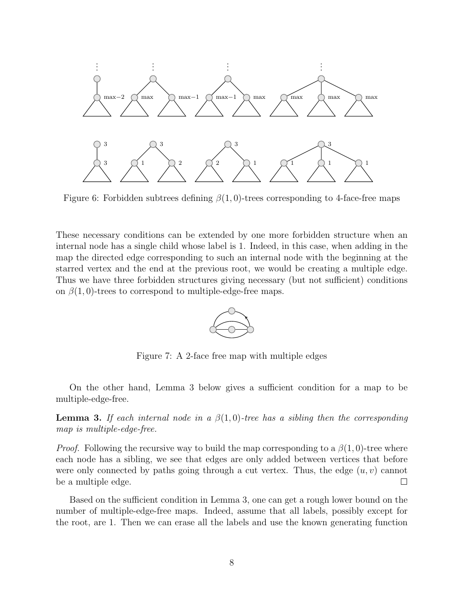

Figure 6: Forbidden subtrees defining  $\beta(1,0)$ -trees corresponding to 4-face-free maps

These necessary conditions can be extended by one more forbidden structure when an internal node has a single child whose label is 1. Indeed, in this case, when adding in the map the directed edge corresponding to such an internal node with the beginning at the starred vertex and the end at the previous root, we would be creating a multiple edge. Thus we have three forbidden structures giving necessary (but not sufficient) conditions on  $\beta(1,0)$ -trees to correspond to multiple-edge-free maps.



Figure 7: A 2-face free map with multiple edges

On the other hand, Lemma 3 below gives a sufficient condition for a map to be multiple-edge-free.

**Lemma 3.** If each internal node in a  $\beta(1,0)$ -tree has a sibling then the corresponding map is multiple-edge-free.

*Proof.* Following the recursive way to build the map corresponding to a  $\beta(1,0)$ -tree where each node has a sibling, we see that edges are only added between vertices that before were only connected by paths going through a cut vertex. Thus, the edge  $(u, v)$  cannot be a multiple edge.  $\Box$ 

Based on the sufficient condition in Lemma 3, one can get a rough lower bound on the number of multiple-edge-free maps. Indeed, assume that all labels, possibly except for the root, are 1. Then we can erase all the labels and use the known generating function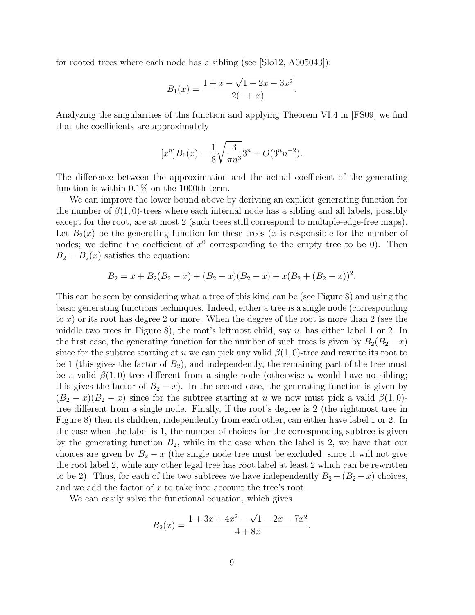for rooted trees where each node has a sibling (see [Slo12, A005043]):

$$
B_1(x) = \frac{1 + x - \sqrt{1 - 2x - 3x^2}}{2(1 + x)}
$$

.

Analyzing the singularities of this function and applying Theorem VI.4 in [FS09] we find that the coefficients are approximately

$$
[x^{n}]B_{1}(x) = \frac{1}{8}\sqrt{\frac{3}{\pi n^{3}}}3^{n} + O(3^{n}n^{-2}).
$$

The difference between the approximation and the actual coefficient of the generating function is within 0.1% on the 1000th term.

We can improve the lower bound above by deriving an explicit generating function for the number of  $\beta(1,0)$ -trees where each internal node has a sibling and all labels, possibly except for the root, are at most 2 (such trees still correspond to multiple-edge-free maps). Let  $B_2(x)$  be the generating function for these trees (x is responsible for the number of nodes; we define the coefficient of  $x^0$  corresponding to the empty tree to be 0). Then  $B_2 = B_2(x)$  satisfies the equation:

$$
B_2 = x + B_2(B_2 - x) + (B_2 - x)(B_2 - x) + x(B_2 + (B_2 - x))^2.
$$

This can be seen by considering what a tree of this kind can be (see Figure 8) and using the basic generating functions techniques. Indeed, either a tree is a single node (corresponding to  $x$ ) or its root has degree 2 or more. When the degree of the root is more than 2 (see the middle two trees in Figure 8), the root's leftmost child, say  $u$ , has either label 1 or 2. In the first case, the generating function for the number of such trees is given by  $B_2(B_2 - x)$ since for the subtree starting at u we can pick any valid  $\beta(1,0)$ -tree and rewrite its root to be 1 (this gives the factor of  $B_2$ ), and independently, the remaining part of the tree must be a valid  $\beta(1,0)$ -tree different from a single node (otherwise u would have no sibling; this gives the factor of  $B_2 - x$ ). In the second case, the generating function is given by  $(B_2 - x)(B_2 - x)$  since for the subtree starting at u we now must pick a valid  $\beta(1,0)$ tree different from a single node. Finally, if the root's degree is 2 (the rightmost tree in Figure 8) then its children, independently from each other, can either have label 1 or 2. In the case when the label is 1, the number of choices for the corresponding subtree is given by the generating function  $B_2$ , while in the case when the label is 2, we have that our choices are given by  $B_2 - x$  (the single node tree must be excluded, since it will not give the root label 2, while any other legal tree has root label at least 2 which can be rewritten to be 2). Thus, for each of the two subtrees we have independently  $B_2 + (B_2 - x)$  choices, and we add the factor of  $x$  to take into account the tree's root.

We can easily solve the functional equation, which gives

$$
B_2(x) = \frac{1 + 3x + 4x^2 - \sqrt{1 - 2x - 7x^2}}{4 + 8x}.
$$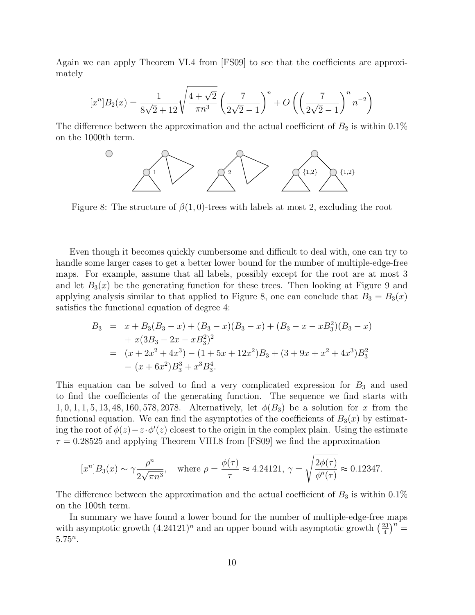Again we can apply Theorem VI.4 from [FS09] to see that the coefficients are approximately

$$
[x^{n}]B_{2}(x) = \frac{1}{8\sqrt{2}+12} \sqrt{\frac{4+\sqrt{2}}{\pi n^{3}}} \left(\frac{7}{2\sqrt{2}-1}\right)^{n} + O\left(\left(\frac{7}{2\sqrt{2}-1}\right)^{n} n^{-2}\right)
$$

The difference between the approximation and the actual coefficient of  $B_2$  is within 0.1% on the 1000th term.



Figure 8: The structure of  $\beta(1,0)$ -trees with labels at most 2, excluding the root

Even though it becomes quickly cumbersome and difficult to deal with, one can try to handle some larger cases to get a better lower bound for the number of multiple-edge-free maps. For example, assume that all labels, possibly except for the root are at most 3 and let  $B_3(x)$  be the generating function for these trees. Then looking at Figure 9 and applying analysis similar to that applied to Figure 8, one can conclude that  $B_3 = B_3(x)$ satisfies the functional equation of degree 4:

$$
B_3 = x + B_3(B_3 - x) + (B_3 - x)(B_3 - x) + (B_3 - x - xB_3^2)(B_3 - x)
$$
  
+  $x(3B_3 - 2x - xB_3^2)^2$   
=  $(x + 2x^2 + 4x^3) - (1 + 5x + 12x^2)B_3 + (3 + 9x + x^2 + 4x^3)B_3^2$   
-  $(x + 6x^2)B_3^3 + x^3B_3^4$ .

This equation can be solved to find a very complicated expression for  $B_3$  and used to find the coefficients of the generating function. The sequence we find starts with 1, 0, 1, 1, 5, 13, 48, 160, 578, 2078. Alternatively, let  $\phi(B_3)$  be a solution for x from the functional equation. We can find the asymptotics of the coefficients of  $B_3(x)$  by estimating the root of  $\phi(z) - z \cdot \phi'(z)$  closest to the origin in the complex plain. Using the estimate  $\tau = 0.28525$  and applying Theorem VIII.8 from [FS09] we find the approximation

$$
[x^n]B_3(x) \sim \gamma \frac{\rho^n}{2\sqrt{\pi n^3}}, \quad \text{where } \rho = \frac{\phi(\tau)}{\tau} \approx 4.24121, \ \gamma = \sqrt{\frac{2\phi(\tau)}{\phi''(\tau)}} \approx 0.12347.
$$

The difference between the approximation and the actual coefficient of  $B_3$  is within 0.1% on the 100th term.

In summary we have found a lower bound for the number of multiple-edge-free maps with asymptotic growth  $(4.24121)^n$  and an upper bound with asymptotic growth  $\left(\frac{23}{4}\right)$  $\left(\frac{23}{4}\right)^n =$  $5.75^n$ .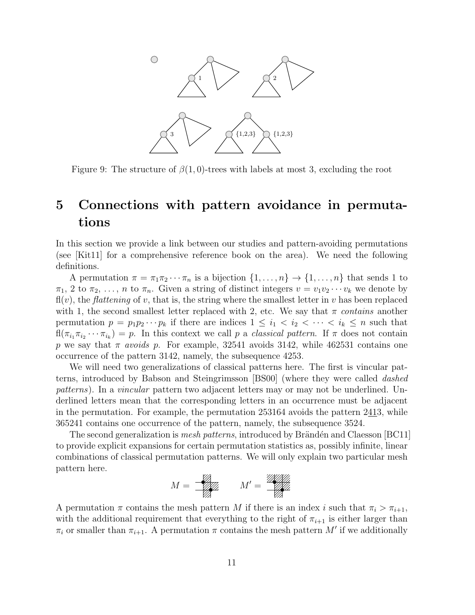

Figure 9: The structure of  $\beta(1,0)$ -trees with labels at most 3, excluding the root

## 5 Connections with pattern avoidance in permutations

In this section we provide a link between our studies and pattern-avoiding permutations (see [Kit11] for a comprehensive reference book on the area). We need the following definitions.

A permutation  $\pi = \pi_1 \pi_2 \cdots \pi_n$  is a bijection  $\{1, \ldots, n\} \to \{1, \ldots, n\}$  that sends 1 to  $\pi_1$ , 2 to  $\pi_2$ , ..., *n* to  $\pi_n$ . Given a string of distinct integers  $v = v_1v_2\cdots v_k$  we denote by  $f(x)$ , the *flattening* of v, that is, the string where the smallest letter in v has been replaced with 1, the second smallest letter replaced with 2, etc. We say that  $\pi$  contains another permutation  $p = p_1 p_2 \cdots p_k$  if there are indices  $1 \leq i_1 < i_2 < \cdots < i_k \leq n$  such that  $\text{ff}(\pi_{i_1}\pi_{i_2}\cdots\pi_{i_k})=p$ . In this context we call p a *classical pattern*. If  $\pi$  does not contain p we say that  $\pi$  avoids p. For example, 32541 avoids 3142, while 462531 contains one occurrence of the pattern 3142, namely, the subsequence 4253.

We will need two generalizations of classical patterns here. The first is vincular patterns, introduced by Babson and Steingrimsson [BS00] (where they were called dashed patterns). In a vincular pattern two adjacent letters may or may not be underlined. Underlined letters mean that the corresponding letters in an occurrence must be adjacent in the permutation. For example, the permutation 253164 avoids the pattern 2413, while 365241 contains one occurrence of the pattern, namely, the subsequence 3524.

The second generalization is *mesh patterns*, introduced by Brändén and Claesson [BC11] to provide explicit expansions for certain permutation statistics as, possibly infinite, linear combinations of classical permutation patterns. We will only explain two particular mesh pattern here.

$$
M = \begin{array}{c}\text{min} \\ \text{min} \end{array} \qquad M' = \begin{array}{c}\text{min} \\ \text{min} \end{array}
$$

A permutation  $\pi$  contains the mesh pattern M if there is an index i such that  $\pi_i > \pi_{i+1}$ , with the additional requirement that everything to the right of  $\pi_{i+1}$  is either larger than  $\pi_i$  or smaller than  $\pi_{i+1}$ . A permutation  $\pi$  contains the mesh pattern M' if we additionally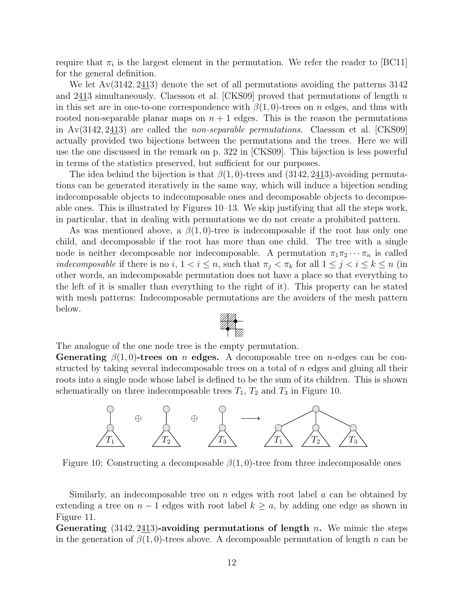require that  $\pi_i$  is the largest element in the permutation. We refer the reader to [BC11] for the general definition.

We let  $Av(3142, 2413)$  denote the set of all permutations avoiding the patterns  $3142$ and 2413 simultaneously. Claesson et al.  $[CKS09]$  proved that permutations of length n in this set are in one-to-one correspondence with  $\beta(1,0)$ -trees on n edges, and thus with rooted non-separable planar maps on  $n + 1$  edges. This is the reason the permutations in Av(3142, 2413) are called the non-separable permutations. Claesson et al. [CKS09] actually provided two bijections between the permutations and the trees. Here we will use the one discussed in the remark on p. 322 in [CKS09]. This bijection is less powerful in terms of the statistics preserved, but sufficient for our purposes.

The idea behind the bijection is that  $\beta(1,0)$ -trees and  $(3142, 2413)$ -avoiding permutations can be generated iteratively in the same way, which will induce a bijection sending indecomposable objects to indecomposable ones and decomposable objects to decomposable ones. This is illustrated by Figures 10–13. We skip justifying that all the steps work, in particular, that in dealing with permutations we do not create a prohibited pattern.

As was mentioned above, a  $\beta(1,0)$ -tree is indecomposable if the root has only one child, and decomposable if the root has more than one child. The tree with a single node is neither decomposable nor indecomposable. A permutation  $\pi_1 \pi_2 \cdots \pi_n$  is called indecomposable if there is no i,  $1 < i \leq n$ , such that  $\pi_i < \pi_k$  for all  $1 \leq j < i \leq k \leq n$  (in other words, an indecomposable permutation does not have a place so that everything to the left of it is smaller than everything to the right of it). This property can be stated with mesh patterns: Indecomposable permutations are the avoiders of the mesh pattern below.



The analogue of the one node tree is the empty permutation.

Generating  $\beta(1,0)$ -trees on n edges. A decomposable tree on n-edges can be constructed by taking several indecomposable trees on a total of n edges and gluing all their roots into a single node whose label is defined to be the sum of its children. This is shown schematically on three indecomposable trees  $T_1$ ,  $T_2$  and  $T_3$  in Figure 10.



Figure 10: Constructing a decomposable  $\beta(1,0)$ -tree from three indecomposable ones

Similarly, an indecomposable tree on n edges with root label  $a$  can be obtained by extending a tree on  $n-1$  edges with root label  $k \ge a$ , by adding one edge as shown in Figure 11.

Generating  $(3142, 2413)$ -avoiding permutations of length n. We mimic the steps in the generation of  $\beta(1,0)$ -trees above. A decomposable permutation of length n can be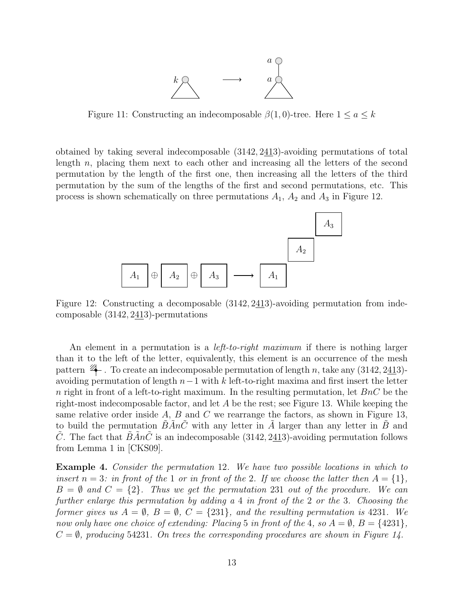

Figure 11: Constructing an indecomposable  $\beta(1,0)$ -tree. Here  $1 \le a \le k$ 

obtained by taking several indecomposable (3142, 2413)-avoiding permutations of total length n, placing them next to each other and increasing all the letters of the second permutation by the length of the first one, then increasing all the letters of the third permutation by the sum of the lengths of the first and second permutations, etc. This process is shown schematically on three permutations  $A_1$ ,  $A_2$  and  $A_3$  in Figure 12.



Figure 12: Constructing a decomposable (3142, 2413)-avoiding permutation from indecomposable (3142, 2413)-permutations

An element in a permutation is a *left-to-right maximum* if there is nothing larger than it to the left of the letter, equivalently, this element is an occurrence of the mesh pattern  $\mathcal{Z}_-$ . To create an indecomposable permutation of length n, take any (3142, 2413)avoiding permutation of length  $n-1$  with k left-to-right maxima and first insert the letter n right in front of a left-to-right maximum. In the resulting permutation, let  $BnC$  be the right-most indecomposable factor, and let A be the rest; see Figure 13. While keeping the same relative order inside  $A$ ,  $B$  and  $C$  we rearrange the factors, as shown in Figure 13, to build the permutation  $\widehat{B}\widehat{A}n\widehat{C}$  with any letter in  $\widehat{A}$  larger than any letter in  $\widehat{B}$  and C. The fact that  $BAnC$  is an indecomposable (3142, 2413)-avoiding permutation follows from Lemma 1 in [CKS09].

Example 4. Consider the permutation 12. We have two possible locations in which to insert  $n = 3$ : in front of the 1 or in front of the 2. If we choose the latter then  $A = \{1\}$ ,  $B = \emptyset$  and  $C = \{2\}$ . Thus we get the permutation 231 out of the procedure. We can further enlarge this permutation by adding a 4 in front of the 2 or the 3. Choosing the former gives us  $A = \emptyset$ ,  $B = \emptyset$ ,  $C = \{231\}$ , and the resulting permutation is 4231. We now only have one choice of extending: Placing 5 in front of the 4, so  $A = \emptyset$ ,  $B = \{4231\}$ ,  $C = \emptyset$ , producing 54231. On trees the corresponding procedures are shown in Figure 14.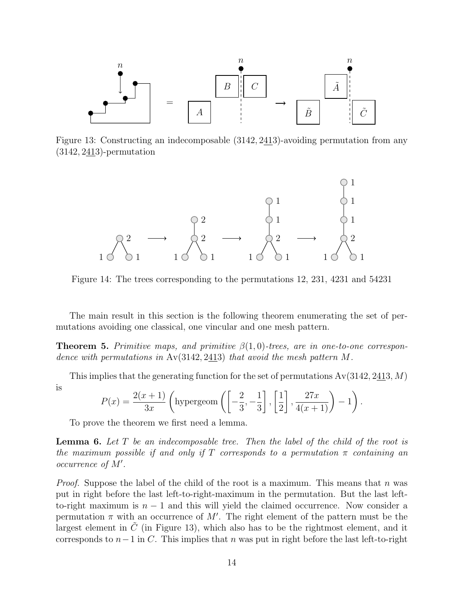

Figure 13: Constructing an indecomposable (3142, 2413)-avoiding permutation from any  $(3142, 2413)$ -permutation



Figure 14: The trees corresponding to the permutations 12, 231, 4231 and 54231

The main result in this section is the following theorem enumerating the set of permutations avoiding one classical, one vincular and one mesh pattern.

**Theorem 5.** Primitive maps, and primitive  $\beta(1,0)$ -trees, are in one-to-one correspondence with permutations in  $Av(3142, 2413)$  that avoid the mesh pattern M.

This implies that the generating function for the set of permutations  $Av(3142, 2413, M)$ is

$$
P(x) = \frac{2(x+1)}{3x} \left( \text{hypergeom}\left( \left[ -\frac{2}{3}, -\frac{1}{3} \right], \left[ \frac{1}{2} \right], \frac{27x}{4(x+1)} \right) - 1 \right).
$$

To prove the theorem we first need a lemma.

**Lemma 6.** Let  $T$  be an indecomposable tree. Then the label of the child of the root is the maximum possible if and only if T corresponds to a permutation  $\pi$  containing an  $occurrence of M'.$ 

*Proof.* Suppose the label of the child of the root is a maximum. This means that n was put in right before the last left-to-right-maximum in the permutation. But the last leftto-right maximum is  $n-1$  and this will yield the claimed occurrence. Now consider a permutation  $\pi$  with an occurrence of M'. The right element of the pattern must be the largest element in  $\tilde{C}$  (in Figure 13), which also has to be the rightmost element, and it corresponds to  $n-1$  in C. This implies that n was put in right before the last left-to-right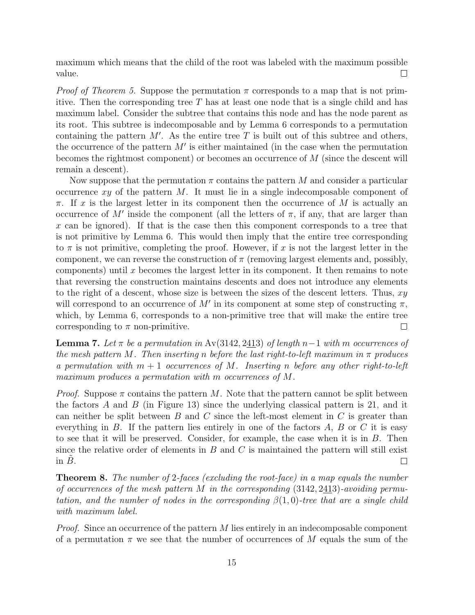maximum which means that the child of the root was labeled with the maximum possible value.  $\Box$ 

*Proof of Theorem 5.* Suppose the permutation  $\pi$  corresponds to a map that is not primitive. Then the corresponding tree  $T$  has at least one node that is a single child and has maximum label. Consider the subtree that contains this node and has the node parent as its root. This subtree is indecomposable and by Lemma 6 corresponds to a permutation containing the pattern  $M'$ . As the entire tree T is built out of this subtree and others, the occurrence of the pattern  $M'$  is either maintained (in the case when the permutation becomes the rightmost component) or becomes an occurrence of M (since the descent will remain a descent).

Now suppose that the permutation  $\pi$  contains the pattern M and consider a particular occurrence  $xy$  of the pattern M. It must lie in a single indecomposable component of  $\pi$ . If x is the largest letter in its component then the occurrence of M is actually an occurrence of M' inside the component (all the letters of  $\pi$ , if any, that are larger than  $x$  can be ignored). If that is the case then this component corresponds to a tree that is not primitive by Lemma 6. This would then imply that the entire tree corresponding to  $\pi$  is not primitive, completing the proof. However, if x is not the largest letter in the component, we can reverse the construction of  $\pi$  (removing largest elements and, possibly, components) until x becomes the largest letter in its component. It then remains to note that reversing the construction maintains descents and does not introduce any elements to the right of a descent, whose size is between the sizes of the descent letters. Thus,  $xy$ will correspond to an occurrence of  $M'$  in its component at some step of constructing  $\pi$ , which, by Lemma 6, corresponds to a non-primitive tree that will make the entire tree  $\Box$ corresponding to  $\pi$  non-primitive.

**Lemma 7.** Let  $\pi$  be a permutation in Av(3142, 2413) of length n–1 with m occurrences of the mesh pattern M. Then inserting n before the last right-to-left maximum in  $\pi$  produces a permutation with  $m + 1$  occurrences of M. Inserting n before any other right-to-left maximum produces a permutation with m occurrences of M.

*Proof.* Suppose  $\pi$  contains the pattern M. Note that the pattern cannot be split between the factors  $\tilde{A}$  and  $\tilde{B}$  (in Figure 13) since the underlying classical pattern is 21, and it can neither be split between  $B$  and  $C$  since the left-most element in  $C$  is greater than everything in  $B$ . If the pattern lies entirely in one of the factors  $A, B$  or  $C$  it is easy to see that it will be preserved. Consider, for example, the case when it is in B. Then since the relative order of elements in  $B$  and  $C$  is maintained the pattern will still exist in  $B$ .  $\Box$ 

Theorem 8. The number of 2-faces (excluding the root-face) in a map equals the number of occurrences of the mesh pattern M in the corresponding  $(3142, 2413)$ -avoiding permutation, and the number of nodes in the corresponding  $\beta(1,0)$ -tree that are a single child with maximum label.

*Proof.* Since an occurrence of the pattern  $M$  lies entirely in an indecomposable component of a permutation  $\pi$  we see that the number of occurrences of M equals the sum of the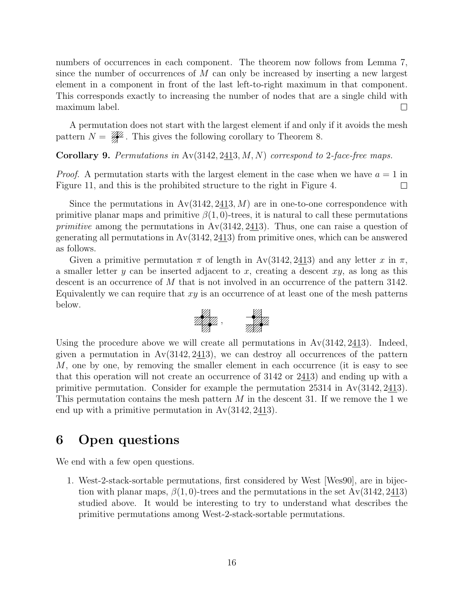numbers of occurrences in each component. The theorem now follows from Lemma 7, since the number of occurrences of  $M$  can only be increased by inserting a new largest element in a component in front of the last left-to-right maximum in that component. This corresponds exactly to increasing the number of nodes that are a single child with maximum label.  $\Box$ 

A permutation does not start with the largest element if and only if it avoids the mesh pattern  $N = \mathscr{H}$ . This gives the following corollary to Theorem 8.

Corollary 9. Permutations in  $Av(3142, 2413, M, N)$  correspond to 2-face-free maps.

*Proof.* A permutation starts with the largest element in the case when we have  $a = 1$  in Figure 11, and this is the prohibited structure to the right in Figure 4.  $\Box$ 

Since the permutations in  $Av(3142, 2413, M)$  are in one-to-one correspondence with primitive planar maps and primitive  $\beta(1,0)$ -trees, it is natural to call these permutations *primitive* among the permutations in  $Av(3142, 2413)$ . Thus, one can raise a question of generating all permutations in  $Av(3142, 213)$  from primitive ones, which can be answered as follows.

Given a primitive permutation  $\pi$  of length in Av(3142, 2413) and any letter x in  $\pi$ , a smaller letter y can be inserted adjacent to x, creating a descent  $xy$ , as long as this descent is an occurrence of M that is not involved in an occurrence of the pattern 3142. Equivalently we can require that  $xy$  is an occurrence of at least one of the mesh patterns below.



Using the procedure above we will create all permutations in  $Av(3142, 2413)$ . Indeed, given a permutation in  $Av(3142, 2413)$ , we can destroy all occurrences of the pattern M, one by one, by removing the smaller element in each occurrence (it is easy to see that this operation will not create an occurrence of 3142 or 2413) and ending up with a primitive permutation. Consider for example the permutation 25314 in Av(3142, 2413). This permutation contains the mesh pattern  $M$  in the descent 31. If we remove the 1 we end up with a primitive permutation in Av(3142, 2413).

## 6 Open questions

We end with a few open questions.

1. West-2-stack-sortable permutations, first considered by West [Wes90], are in bijection with planar maps,  $\beta(1,0)$ -trees and the permutations in the set Av(3142, 2413) studied above. It would be interesting to try to understand what describes the primitive permutations among West-2-stack-sortable permutations.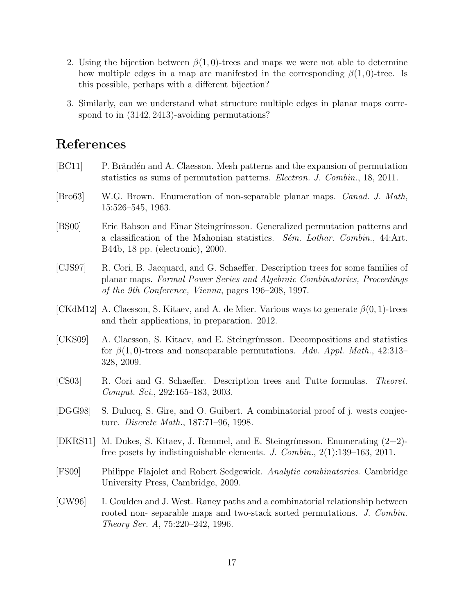- 2. Using the bijection between  $\beta(1,0)$ -trees and maps we were not able to determine how multiple edges in a map are manifested in the corresponding  $\beta(1,0)$ -tree. Is this possible, perhaps with a different bijection?
- 3. Similarly, can we understand what structure multiple edges in planar maps correspond to in (3142, 2413)-avoiding permutations?

## References

- [BC11] P. Brändén and A. Claesson. Mesh patterns and the expansion of permutation statistics as sums of permutation patterns. Electron. J. Combin., 18, 2011.
- [Bro63] W.G. Brown. Enumeration of non-separable planar maps. Canad. J. Math, 15:526–545, 1963.
- [BS00] Eric Babson and Einar Steingrímsson. Generalized permutation patterns and a classification of the Mahonian statistics. Sém. Lothar. Combin., 44:Art. B44b, 18 pp. (electronic), 2000.
- [CJS97] R. Cori, B. Jacquard, and G. Schaeffer. Description trees for some families of planar maps. Formal Power Series and Algebraic Combinatorics, Proceedings of the 9th Conference, Vienna, pages 196–208, 1997.
- [CKdM12] A. Claesson, S. Kitaev, and A. de Mier. Various ways to generate  $\beta(0,1)$ -trees and their applications, in preparation. 2012.
- [CKS09] A. Claesson, S. Kitaev, and E. Steingr´ımsson. Decompositions and statistics for  $\beta(1,0)$ -trees and nonseparable permutations. Adv. Appl. Math., 42:313– 328, 2009.
- [CS03] R. Cori and G. Schaeffer. Description trees and Tutte formulas. Theoret. Comput. Sci., 292:165–183, 2003.
- [DGG98] S. Dulucq, S. Gire, and O. Guibert. A combinatorial proof of j. wests conjecture. Discrete Math., 187:71–96, 1998.
- [DKRS11] M. Dukes, S. Kitaev, J. Remmel, and E. Steingrímsson. Enumerating  $(2+2)$ free posets by indistinguishable elements. J. Combin., 2(1):139–163, 2011.
- [FS09] Philippe Flajolet and Robert Sedgewick. Analytic combinatorics. Cambridge University Press, Cambridge, 2009.
- [GW96] I. Goulden and J. West. Raney paths and a combinatorial relationship between rooted non- separable maps and two-stack sorted permutations. J. Combin. Theory Ser. A, 75:220–242, 1996.